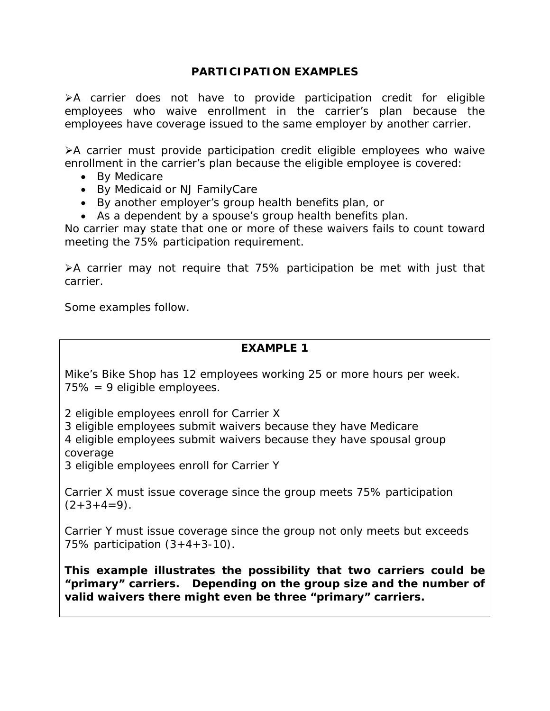#### **PARTICIPATION EXAMPLES**

 $\triangleright$ A carrier does not have to provide participation credit for eligible employees who waive enrollment in the carrier's plan because the employees have coverage issued to the same employer by another carrier.

A carrier must provide participation credit eligible employees who waive enrollment in the carrier's plan because the eligible employee is covered:

- By Medicare
- By Medicaid or NJ FamilyCare
- By another employer's group health benefits plan, or
- As a dependent by a spouse's group health benefits plan.

No carrier may state that one or more of these waivers fails to count toward meeting the 75% participation requirement.

A carrier may not require that 75% participation be met with just that carrier.

Some examples follow.

# **EXAMPLE 1**

Mike's Bike Shop has 12 employees working 25 or more hours per week. 75% = 9 eligible employees.

2 eligible employees enroll for Carrier X

3 eligible employees submit waivers because they have Medicare

4 eligible employees submit waivers because they have spousal group coverage

3 eligible employees enroll for Carrier Y

Carrier X must issue coverage since the group meets 75% participation  $(2+3+4=9)$ .

Carrier Y must issue coverage since the group not only meets but exceeds 75% participation (3+4+3-10).

**This example illustrates the possibility that two carriers could be "primary" carriers. Depending on the group size and the number of valid waivers there might even be three "primary" carriers.**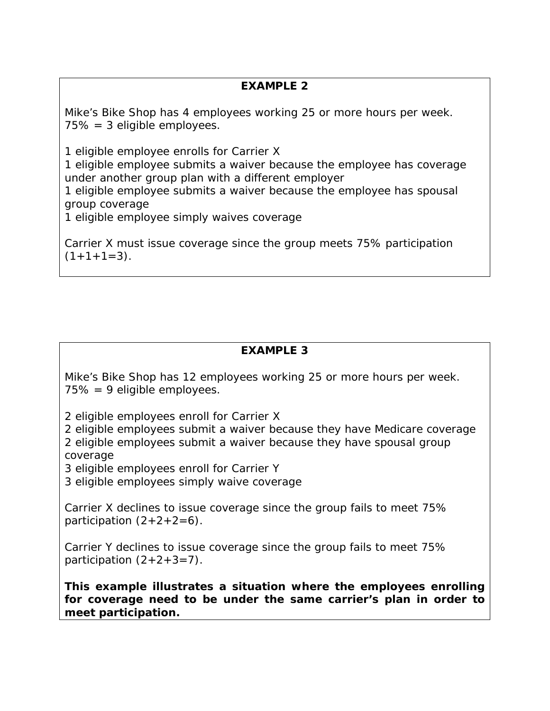# **EXAMPLE 2**

Mike's Bike Shop has 4 employees working 25 or more hours per week. 75% = 3 eligible employees.

1 eligible employee enrolls for Carrier X

1 eligible employee submits a waiver because the employee has coverage under another group plan with a different employer

1 eligible employee submits a waiver because the employee has spousal group coverage

1 eligible employee simply waives coverage

Carrier X must issue coverage since the group meets 75% participation  $(1+1+1=3)$ .

# **EXAMPLE 3**

Mike's Bike Shop has 12 employees working 25 or more hours per week. 75% = 9 eligible employees.

2 eligible employees enroll for Carrier X

2 eligible employees submit a waiver because they have Medicare coverage 2 eligible employees submit a waiver because they have spousal group coverage

3 eligible employees enroll for Carrier Y

3 eligible employees simply waive coverage

Carrier X declines to issue coverage since the group fails to meet 75% participation  $(2+2+2=6)$ .

Carrier Y declines to issue coverage since the group fails to meet 75% participation  $(2+2+3=7)$ .

**This example illustrates a situation where the employees enrolling for coverage need to be under the same carrier's plan in order to meet participation.**